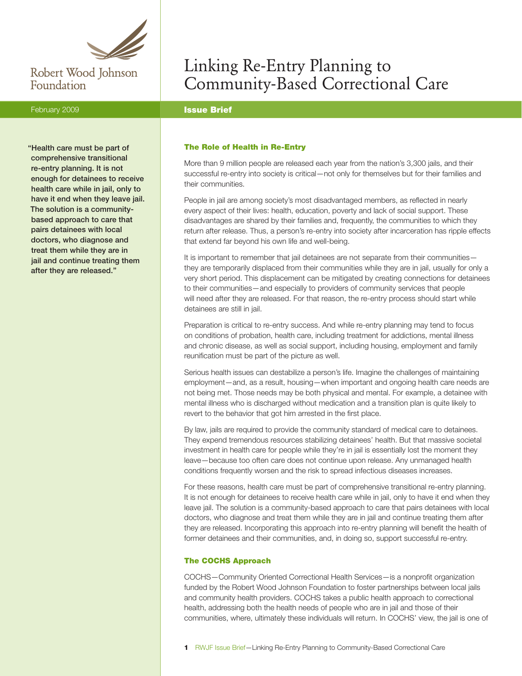

## Robert Wood Johnson Foundation

### February 2009 **Issue Brief**

"Health care must be part of comprehensive transitional re-entry planning. It is not enough for detainees to receive health care while in jail, only to have it end when they leave jail. The solution is a communitybased approach to care that pairs detainees with local doctors, who diagnose and treat them while they are in jail and continue treating them after they are released."

# Linking Re-Entry Planning to Community-Based Correctional Care

#### The Role of Health in Re-Entry

More than 9 million people are released each year from the nation's 3,300 jails, and their successful re-entry into society is critical—not only for themselves but for their families and their communities.

People in jail are among society's most disadvantaged members, as reflected in nearly every aspect of their lives: health, education, poverty and lack of social support. These disadvantages are shared by their families and, frequently, the communities to which they return after release. Thus, a person's re-entry into society after incarceration has ripple effects that extend far beyond his own life and well-being.

It is important to remember that jail detainees are not separate from their communities they are temporarily displaced from their communities while they are in jail, usually for only a very short period. This displacement can be mitigated by creating connections for detainees to their communities—and especially to providers of community services that people will need after they are released. For that reason, the re-entry process should start while detainees are still in jail.

Preparation is critical to re-entry success. And while re-entry planning may tend to focus on conditions of probation, health care, including treatment for addictions, mental illness and chronic disease, as well as social support, including housing, employment and family reunification must be part of the picture as well.

Serious health issues can destabilize a person's life. Imagine the challenges of maintaining employment—and, as a result, housing—when important and ongoing health care needs are not being met. Those needs may be both physical and mental. For example, a detainee with mental illness who is discharged without medication and a transition plan is quite likely to revert to the behavior that got him arrested in the first place.

By law, jails are required to provide the community standard of medical care to detainees. They expend tremendous resources stabilizing detainees' health. But that massive societal investment in health care for people while they're in jail is essentially lost the moment they leave—because too often care does not continue upon release. Any unmanaged health conditions frequently worsen and the risk to spread infectious diseases increases.

For these reasons, health care must be part of comprehensive transitional re-entry planning. It is not enough for detainees to receive health care while in jail, only to have it end when they leave jail. The solution is a community-based approach to care that pairs detainees with local doctors, who diagnose and treat them while they are in jail and continue treating them after they are released. Incorporating this approach into re-entry planning will benefit the health of former detainees and their communities, and, in doing so, support successful re-entry.

#### The COCHS Approach

COCHS—Community Oriented Correctional Health Services—is a nonprofit organization funded by the Robert Wood Johnson Foundation to foster partnerships between local jails and community health providers. COCHS takes a public health approach to correctional health, addressing both the health needs of people who are in jail and those of their communities, where, ultimately these individuals will return. In COCHS' view, the jail is one of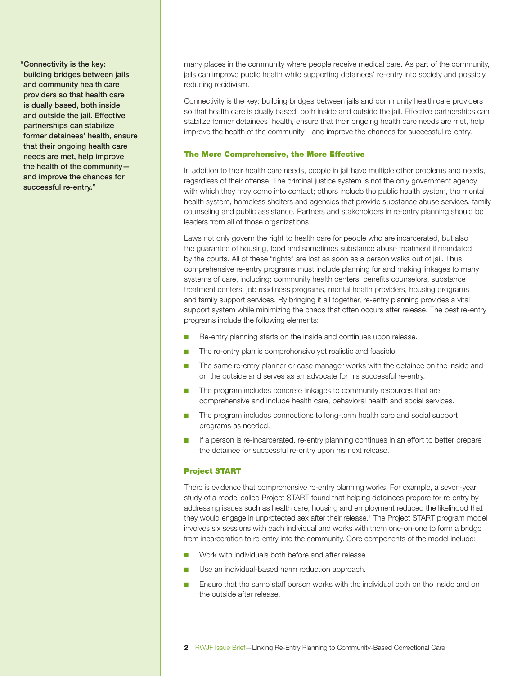"Connectivity is the key: building bridges between jails and community health care providers so that health care is dually based, both inside and outside the jail. Effective partnerships can stabilize former detainees' health, ensure that their ongoing health care needs are met, help improve the health of the community and improve the chances for successful re-entry."

many places in the community where people receive medical care. As part of the community, jails can improve public health while supporting detainees' re-entry into society and possibly reducing recidivism.

Connectivity is the key: building bridges between jails and community health care providers so that health care is dually based, both inside and outside the jail. Effective partnerships can stabilize former detainees' health, ensure that their ongoing health care needs are met, help improve the health of the community—and improve the chances for successful re-entry.

#### The More Comprehensive, the More Effective

In addition to their health care needs, people in jail have multiple other problems and needs, regardless of their offense. The criminal justice system is not the only government agency with which they may come into contact; others include the public health system, the mental health system, homeless shelters and agencies that provide substance abuse services, family counseling and public assistance. Partners and stakeholders in re-entry planning should be leaders from all of those organizations.

Laws not only govern the right to health care for people who are incarcerated, but also the guarantee of housing, food and sometimes substance abuse treatment if mandated by the courts. All of these "rights" are lost as soon as a person walks out of jail. Thus, comprehensive re-entry programs must include planning for and making linkages to many systems of care, including: community health centers, benefits counselors, substance treatment centers, job readiness programs, mental health providers, housing programs and family support services. By bringing it all together, re-entry planning provides a vital support system while minimizing the chaos that often occurs after release. The best re-entry programs include the following elements:

- Re-entry planning starts on the inside and continues upon release.
- The re-entry plan is comprehensive yet realistic and feasible.
- The same re-entry planner or case manager works with the detainee on the inside and on the outside and serves as an advocate for his successful re-entry.
- The program includes concrete linkages to community resources that are comprehensive and include health care, behavioral health and social services.
- The program includes connections to long-term health care and social support programs as needed.
- If a person is re-incarcerated, re-entry planning continues in an effort to better prepare the detainee for successful re-entry upon his next release.

#### Project START

There is evidence that comprehensive re-entry planning works. For example, a seven-year study of a model called Project START found that helping detainees prepare for re-entry by addressing issues such as health care, housing and employment reduced the likelihood that they would engage in unprotected sex after their release.1 The Project START program model involves six sessions with each individual and works with them one-on-one to form a bridge from incarceration to re-entry into the community. Core components of the model include:

- Work with individuals both before and after release.
- Use an individual-based harm reduction approach.
- Ensure that the same staff person works with the individual both on the inside and on the outside after release.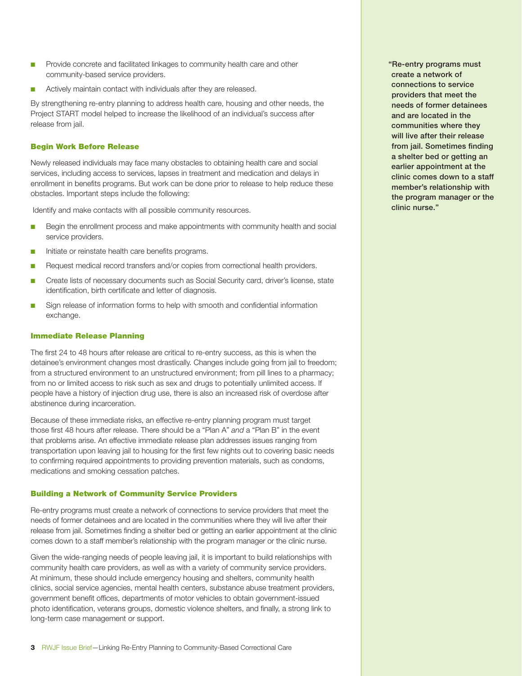- Provide concrete and facilitated linkages to community health care and other community-based service providers.
- Actively maintain contact with individuals after they are released.

By strengthening re-entry planning to address health care, housing and other needs, the Project START model helped to increase the likelihood of an individual's success after release from jail.

#### Begin Work Before Release

Newly released individuals may face many obstacles to obtaining health care and social services, including access to services, lapses in treatment and medication and delays in enrollment in benefits programs. But work can be done prior to release to help reduce these obstacles. Important steps include the following:

Identify and make contacts with all possible community resources.

- Begin the enrollment process and make appointments with community health and social service providers.
- Initiate or reinstate health care benefits programs.
- Request medical record transfers and/or copies from correctional health providers.
- Create lists of necessary documents such as Social Security card, driver's license, state identification, birth certificate and letter of diagnosis.
- Sign release of information forms to help with smooth and confidential information exchange.

#### Immediate Release Planning

The first 24 to 48 hours after release are critical to re-entry success, as this is when the detainee's environment changes most drastically. Changes include going from jail to freedom; from a structured environment to an unstructured environment; from pill lines to a pharmacy; from no or limited access to risk such as sex and drugs to potentially unlimited access. If people have a history of injection drug use, there is also an increased risk of overdose after abstinence during incarceration.

Because of these immediate risks, an effective re-entry planning program must target those first 48 hours after release. There should be a "Plan A" *and* a "Plan B" in the event that problems arise. An effective immediate release plan addresses issues ranging from transportation upon leaving jail to housing for the first few nights out to covering basic needs to confirming required appointments to providing prevention materials, such as condoms, medications and smoking cessation patches.

#### Building a Network of Community Service Providers

Re-entry programs must create a network of connections to service providers that meet the needs of former detainees and are located in the communities where they will live after their release from jail. Sometimes finding a shelter bed or getting an earlier appointment at the clinic comes down to a staff member's relationship with the program manager or the clinic nurse.

Given the wide-ranging needs of people leaving jail, it is important to build relationships with community health care providers, as well as with a variety of community service providers. At minimum, these should include emergency housing and shelters, community health clinics, social service agencies, mental health centers, substance abuse treatment providers, government benefit offices, departments of motor vehicles to obtain government-issued photo identification, veterans groups, domestic violence shelters, and finally, a strong link to long-term case management or support.

"Re-entry programs must create a network of connections to service providers that meet the needs of former detainees and are located in the communities where they will live after their release from jail. Sometimes finding a shelter bed or getting an earlier appointment at the clinic comes down to a staff member's relationship with the program manager or the clinic nurse."